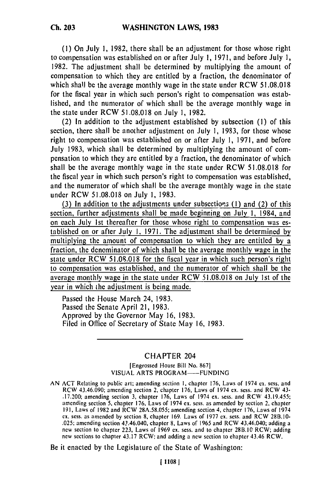**(1)** On July **1, 1982,** there shall be an adjustment for those whose right to compensation was established on or after July 1, **1971,** and before July **1, 1982.** The adjustment shall be determined **by** multiplying the amount of compensation to which they are entitled **by** a fraction, the denominator of which shall be the average monthly wage in the state under RCW **51.08.018** for the fiscal year in which such person's right to compensation was established, and the numerator of which shall be the average monthly wage in the state under RCW 51.08.018 on July **1,** 1982.

(2) In addition to the adjustment established **by** subsection **(1)** of this section, there shall be another adjustment on July **1,** 1983, for those whose right to compensation was established on or after July **1,** 1971, and before July 1983, which shall be determined **by** multiplying the amount of compensation to which they are entitled by a fraction, the denominator of which shall be the average monthly wage in the state under RCW 51.08.018 for the fiscal year in which such person's right to compensation was established, and the numerator of which shall be the average monthly wage in the state under RCW 51.08.018 on July i, 1983.

(3) In addition to the adiustments under subsections (I) and (2) of this section, further adjustments shall be made beginning on July I, 1984, and on each July 1st thereafter for those whose right to compensation was established on or after July I, 1971. The adjustment shall be determined by multiplying the amount of compensation to which they are entitled **by** a fraction, the denominator of which shall be the average monthly wage in the state under RCW 51.09.018 for the fiscal year in which such person's right to compensation was established, and the numerator of which shall be the average monthly wage in the state under RCW 51.08.018 on July 1st of the year in which the adjustment is being made.

Passed the House March 24, 1983. Passed the Senate April 21, 1983. Approved by the Governor May 16, 1983. Filed in Office of Secretary of State May 16, 1983.

## CHAPTER 204

[Engrossed House Bill No. 8671 VISUAL ARTS PROGRAM--FUNDING

AN ACT Relating to public art; amending section I, chapter 176, Laws of 1974 ex. sess. and RCW 43.46.090; amending section 2, chapter 176, Laws of 1974 ex. sess. and RCW 43- .17.200; amending section 3, chapter 176, Laws of 1974 ex. sess. and RCW 43.19.455; amending section 5, chapter 176, Laws of 1974 ex. sess. as amended by section 2, chapter 191, Laws of 1982 and RCW 28A.58.055; amending section 4, chapter 176, Laws of 1974 ex. sess. as amended by section 8, chapter 169. Laws of 1977 ex. sess. and RCW 28B.10- .025; amending section 41.46.040, chapter 8, Laws of 1965 and RCW 43.46.040; adding a  $1023$ ; annehing section  $423$ , Laws of 1969 ex. sess. and to chapter 28B.10 RCW; adding new section to chapter 225, Laws of 1969 ex. sess. and to chapter 26B.10 RCW; add

Be it enacted by the Legislature of the State of Washington: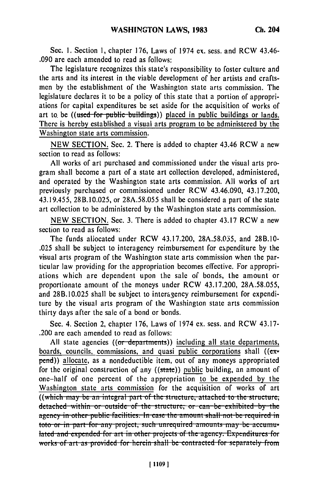Sec. **1.** Section **1,** chapter 176, Laws of 1974 ex. sess. and RCW 43.46- .090 are each amended to read as follows:

The legislature recognizes this state's responsibility to foster culture and the arts and its interest in the viable development of her artists and craftsmen **by** the establishment of the Washington state arts commission. The legislature declares it to be a policy of this state that a portion of appropriations for capital expenditures be set aside for the acquisition of works of art to be ((used for public buildings)) placed in public buildings or lands. There is hereby established a visual arts program to be administered by the Washington state arts commission.

NEW SECTION. Sec. 2. There is added to chapter 43.46 RCW a new section to read as follows:

All works of art purchased and commissioned under the visual arts program shall become a part of a state art collection developed, administered, and operated **by** the Washington state arts commission. All works of art previously purchased or commissioned under RCW 43.46.090, 43.17.200, 43.19.455, 28B.10.025, or 28A.58.055 shall be considered a part of the state art collection to be administered **by** the Washington state arts commission.

NEW SECTION. Sec. **3.** There is added to chapter 43.17 RCW a new section to read as follows:

The funds allocated under RCW 43.17.200, 28A.58.035, and 28B.10- .025 shall be subject to interagency reimbursement for expenditure **by** the visual arts program of the Washington state arts commission when the particular law providing for the appropriation becomes effective. For appropriations which are dependent upon the sale of bonds, the amount or proportionate amount of the moneys under RCW 43.17.200, 28A.58.055, and 28B.10.025 shall be subject to interagency reimbursement for expenditure by the visual arts program of the Washington state arts commission thirty days after the sale of a bond or bonds.

Sec. 4. Section 2, chapter 176, Laws of 1974 **ex.** sess. and RCW 43.17- .200 are each amended to read as follows:

All state agencies ((or departments)) including all state departments, boards, councils, commissions, and quasi public corporations shall **((ex**pend)) allocate, as a nondeductible item, out of any moneys appropriated for the original construction of any ((state)) public building, an amount of one-half of one percent of the appropriation to be expended by the Washington state arts commission for the acquisition of works of art ((which may be an integral part of the structure, attached to the structure, detached within or outside of the structure, or can be exhibited by the agency in other public facilities. In case the amount shall not be required in toto or in part for any project, such unrequired amounts may be accumulated and expended for art in other projects of the agency. Expenditures for works of art as provided for herein shall be contracted for separately from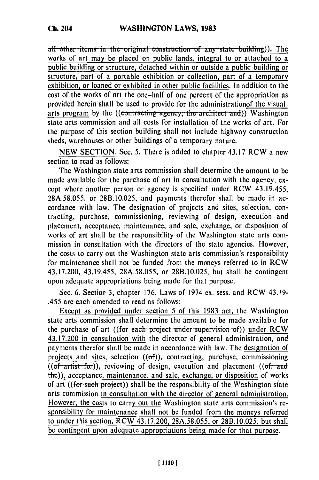all other items in the original construction of any state building)). The works of art may **be** placed on public lands, integral to or attached to a public building or structure, detached within or outside a public building or structure, part of a portable exhibition or collection, part of a temporary exhibition, or loaned or exhibited in other public facilities. In addition to the cost of the works of art the one-half of one percent of the appropriation as provided herein shall be used to provide for the administrationof the visual arts program by the ((contracting agency, the architect and)) Washington state arts commission and all costs for installation of the works of art. For the purpose of this section building shall not include highway construction

NEW SECTION. Sec. 5. There is added to chapter 43.17 RCW a new section to read as follows:

sheds, warehouses or other buildings of a temporary nature.

The Washington state arts commission shall determine the amount to be made available for the purchase of art in consultation with the agency, except where another person or agency is specified under RCW 43.19.455, 28A.58.055, or 28B.10.025, and payments therefor shall be made in accordance with law. The designation of projects and sites, selection, contracting, purchase, commissioning, reviewing of design, execution and placement, acceptance, maintenance, and sale, exchange, or disposition of works of art shall be the responsibility of the Washington state arts commission in consultation with the directors of the state agencies. However, the costs to carry out the Washington state arts commission's responsibility for maintenance shall not be funded from the moneys referred to in RCW 43.17.200, 43.19.455, 28A.58.055, or 28B.10.025, but shall be contingent upon adequate appropriations being made for that purpose.

Sec. 6. Section 3, chapter 176, Laws of 1974 ex. sess. and RCW 43.19- .455 are each amended to read as follows:

Except as provided under section 5 of this 1983 act, the Washington state arts commission shall determine the amount to be made available for the purchase of art ((for each project under supervision of)) under RCW 43.17.200 in consultation with the director of general administration, and payments therefor shall be made in accordance with law. The designation of projects and sites, selection  $((of))$ , contracting, purchase, commissioning  $((of$  artist for)), reviewing of design, execution and placement  $((of, and, ...))$ the)), acceptance, maintenance, and sale, exchange, or disposition of works of art ((for such project)) shall be the responsibility of the Washington state arts commission in consultation with the director of general administration. However, the costs to carry out the Washington state arts commission's responsibility for maintenance shall not be funded from the moneys referred to under this section, RCW 43.17.200, 28A.58.055, or 28B.10.025, but shall be contingent upon adequate appropriations being made for that purpose.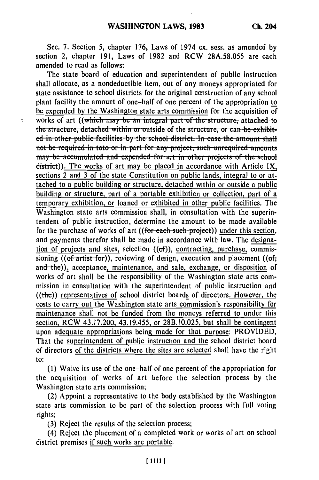Sec. 7. Section 5, chapter 176, Laws of 1974 ex. sess. as amended by section 2, chapter 191, Laws of 1982 and RCW 28A.58.055 are each amended to read as follows:

h

The state board of education and superintendent of public instruction shall allocate, as a nondeductible item, out of any moneys appropriated for state assistance to school districts for the original construction of any school plant facility the amount of one-half of one percent of the appropriation to be expended by the Washington state arts commission for the acquisition of works of art *((which may be an integral part of the structure, attached to* **the structure, detached within or outside of the structure, or can be exhibit-Example 2** in the structure of the sensor and the school in the substitution. may be accumulated and expended for art in other projects of the school district)). The works of art may be placed in accordance with Article IX, sections 2 and 3 of the state Constitution on public lands, integral to or attached to a public building or structure, detached within or outside a public building or structure, part of a portable exhibition or collection, part of a temporary exhibition, or loaned or exhibited in other public facilities. The Washington state arts commission shall, in consultation with the superintendent of public instruction, determine the amount to be made available for the purchase of works of art ((for each such project)) under this section, and payments therefor shall be made in accordance with law. The designation of projects and sites, selection  $( (of) )$ , contracting, purchase, commissioning ((of artist for)), reviewing of design, execution and placement ((of, and-the)), acceptance, maintenance, and sale, exchange, or disposition of works of art shall be the responsibility of the Washington state arts commission in consultation with the superintendent of public instruction and ((the)) representatives of school district boards of directors. However, the costs to carry out the Washington state arts commission's responsibility for maintenance shall not be funded from the moneys referred to under this section, RCW 43.17.200, 43.19.455, or 28B.10.025, but shall be contingent upon adequate appropriations being made for that purpose: PROVIDED, That the superintendent of public instruction and the school district board of directors of the districts where the sites are selected shall have the right to:

(1) Waive its use of the one-half of one percent of the appropriation for the acquisition of works of art before the selection process by the Washington state arts commission;

(2) Appoint a representative to the body established by the Washington state arts commission to be part of the selection process with full voting rights;

(3) Reject the results of the selection process;

(4) Reject the placement of a completed work or works of art on school district premises if such works are portable.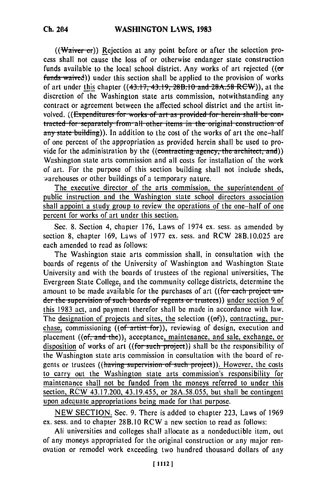$((\text{W}\text{-}\text{div})$  Rejection at any point before or after the selection process shall not cause the loss of or otherwise endanger state construction funds available to the local school district. Any works of art rejected ((or funds waived)) under this section shall be applied to the provision of works of art under this chapter ((43.17, 43.19, 28B.10 and 28A.58 RCW)), at the discretion of the Washington state arts commission, notwithstanding any contract or agreement between the affected school district and the artist involved. ((Expenditures for works of art as provided for herein shall be con**tracted for separately from all other items in the original construction of** any state building)). In addition to the cost of the works of art the one-half of one percent of the appropriation as provided herein shall be used to provide for the administration by the ((contracting agency, the architect, and)) Washington state arts commission and all costs for installation of the work of art. For the purpose of this section building shall not include sheds, warehouses or other buildings of a temporary nature.

The executive director of the arts commission, the superintendent of public instruction and the Washington state school directors association shall appoint a study group to review the operations of the one-half of one percent for works of art under this section.

Sec. 8. Section 4, chapter 176, Laws of 1974 ex. sess. as amended by section 8, chapter 169, Laws of 1977 ex. sess. and RCW 28B.10.025 are each amended to read as follows:

The Washington state arts commission shall, in consultation with the boards of regents of the University of Washington and Washington State University and with the boards of trustees of the regional universities, The Evergreen State College, and the community college districts, determine the amount to be made available for the purchases of art ((for each project under the supervision of such boards of regents or trustees)) under section 9 of this 1983 act, and payment therefor shall be made in accordance with law. The designation of projects and sites, the selection  $((of))$ , contracting, purchase, commissioning  $((of$  artist for)), reviewing of design, execution and placement ((of, and the)), acceptance, maintenance, and sale, exchange, or disposition of works of art  $((for such project))$  shall be the responsibility of the Washington state arts commission in consultation with the board of regents or trustees ((having supervision of such project)). However, the costs to carry out the Washington state arts commission's responsibility for maintenance shall not be funded from the moneys referred to under this section, RCW 43.17.200, 43.19.455, or 28A.58.055, but shall be contingent upon adequate appropriations being made for that purpose.

NEW SECTION. Sec. 9. There is added to chapter 223, Laws of 1969 ex. sess. and to chapter 28B.10 RCW a new section to read as follows:

All universities and colleges shall allocate as a nondeductible item, out of any moneys appropriated for the original construction or any major renovation or remodel work exceeding two hundred thousand dollars of any